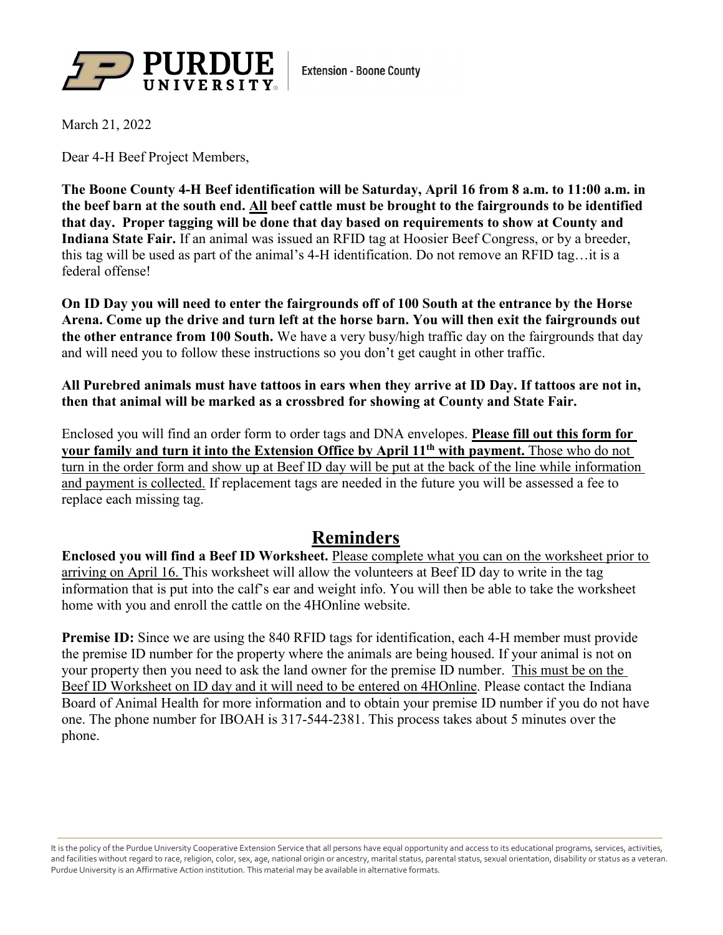

March 21, 2022

Dear 4-H Beef Project Members,

**The Boone County 4-H Beef identification will be Saturday, April 16 from 8 a.m. to 11:00 a.m. in the beef barn at the south end. All beef cattle must be brought to the fairgrounds to be identified that day. Proper tagging will be done that day based on requirements to show at County and Indiana State Fair.** If an animal was issued an RFID tag at Hoosier Beef Congress, or by a breeder, this tag will be used as part of the animal's 4-H identification. Do not remove an RFID tag…it is a federal offense!

**On ID Day you will need to enter the fairgrounds off of 100 South at the entrance by the Horse Arena. Come up the drive and turn left at the horse barn. You will then exit the fairgrounds out the other entrance from 100 South.** We have a very busy/high traffic day on the fairgrounds that day and will need you to follow these instructions so you don't get caught in other traffic.

## **All Purebred animals must have tattoos in ears when they arrive at ID Day. If tattoos are not in, then that animal will be marked as a crossbred for showing at County and State Fair.**

Enclosed you will find an order form to order tags and DNA envelopes. **Please fill out this form for your family and turn it into the Extension Office by April 11th with payment.** Those who do not turn in the order form and show up at Beef ID day will be put at the back of the line while information and payment is collected. If replacement tags are needed in the future you will be assessed a fee to replace each missing tag.

## **Reminders**

**Enclosed you will find a Beef ID Worksheet.** Please complete what you can on the worksheet prior to arriving on April 16. This worksheet will allow the volunteers at Beef ID day to write in the tag information that is put into the calf's ear and weight info. You will then be able to take the worksheet home with you and enroll the cattle on the 4HOnline website.

**Premise ID:** Since we are using the 840 RFID tags for identification, each 4-H member must provide the premise ID number for the property where the animals are being housed. If your animal is not on your property then you need to ask the land owner for the premise ID number. This must be on the Beef ID Worksheet on ID day and it will need to be entered on 4HOnline. Please contact the Indiana Board of Animal Health for more information and to obtain your premise ID number if you do not have one. The phone number for IBOAH is 317-544-2381. This process takes about 5 minutes over the phone.

It is the policy of the Purdue University Cooperative Extension Service that all persons have equal opportunity and access to its educational programs, services, activities, and facilities without regard to race, religion, color, sex, age, national origin or ancestry, marital status, parental status, sexual orientation, disability or status as a veteran. Purdue University is an Affirmative Action institution. This material may be available in alternative formats.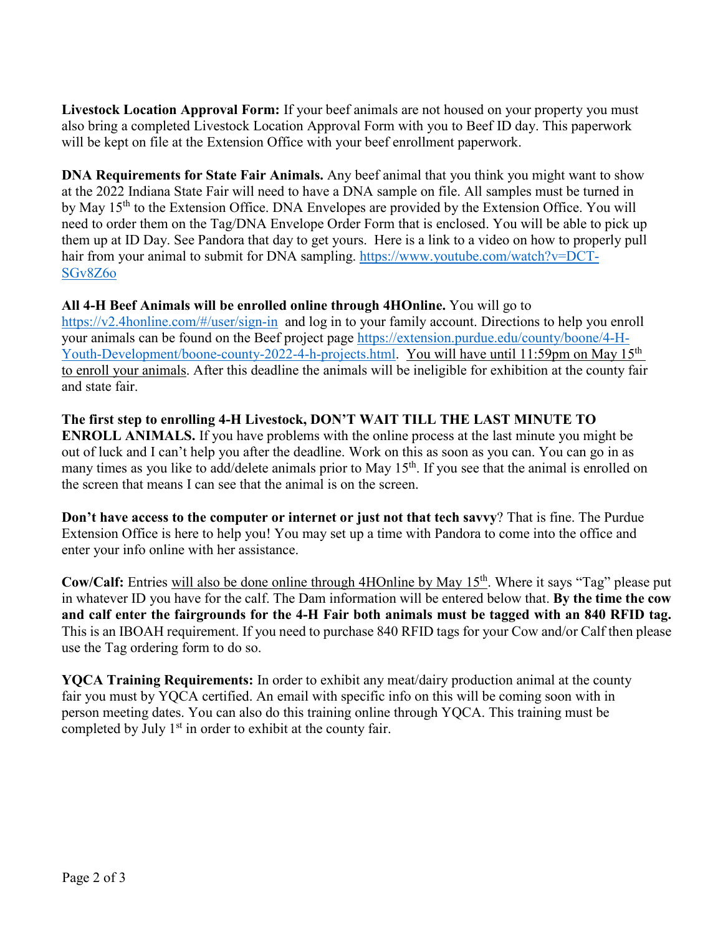**Livestock Location Approval Form:** If your beef animals are not housed on your property you must also bring a completed Livestock Location Approval Form with you to Beef ID day. This paperwork will be kept on file at the Extension Office with your beef enrollment paperwork.

**DNA Requirements for State Fair Animals.** Any beef animal that you think you might want to show at the 2022 Indiana State Fair will need to have a DNA sample on file. All samples must be turned in by May 15<sup>th</sup> to the Extension Office. DNA Envelopes are provided by the Extension Office. You will need to order them on the Tag/DNA Envelope Order Form that is enclosed. You will be able to pick up them up at ID Day. See Pandora that day to get yours. Here is a link to a video on how to properly pull hair from your animal to submit for DNA sampling. [https://www.youtube.com/watch?v=DCT-](https://www.youtube.com/watch?v=DCT-SGv8Z6o)[SGv8Z6o](https://www.youtube.com/watch?v=DCT-SGv8Z6o)

**All 4-H Beef Animals will be enrolled online through 4HOnline.** You will go to <https://v2.4honline.com/#/user/sign-in> and log in to your family account. Directions to help you enroll your animals can be found on the Beef project page [https://extension.purdue.edu/county/boone/4-H-](https://extension.purdue.edu/county/boone/4-H-Youth-Development/boone-county-2022-4-h-projects.html)[Youth-Development/boone-county-2022-4-h-projects.html.](https://extension.purdue.edu/county/boone/4-H-Youth-Development/boone-county-2022-4-h-projects.html) You will have until 11:59pm on May 15<sup>th</sup> to enroll your animals. After this deadline the animals will be ineligible for exhibition at the county fair and state fair.

**The first step to enrolling 4-H Livestock, DON'T WAIT TILL THE LAST MINUTE TO ENROLL ANIMALS.** If you have problems with the online process at the last minute you might be out of luck and I can't help you after the deadline. Work on this as soon as you can. You can go in as many times as you like to add/delete animals prior to May 15<sup>th</sup>. If you see that the animal is enrolled on the screen that means I can see that the animal is on the screen.

**Don't have access to the computer or internet or just not that tech savvy**? That is fine. The Purdue Extension Office is here to help you! You may set up a time with Pandora to come into the office and enter your info online with her assistance.

**Cow/Calf:** Entries will also be done online through 4HOnline by May 15<sup>th</sup>. Where it says "Tag" please put in whatever ID you have for the calf. The Dam information will be entered below that. **By the time the cow and calf enter the fairgrounds for the 4-H Fair both animals must be tagged with an 840 RFID tag.** This is an IBOAH requirement. If you need to purchase 840 RFID tags for your Cow and/or Calf then please use the Tag ordering form to do so.

**YQCA Training Requirements:** In order to exhibit any meat/dairy production animal at the county fair you must by YQCA certified. An email with specific info on this will be coming soon with in person meeting dates. You can also do this training online through YQCA. This training must be completed by July  $1<sup>st</sup>$  in order to exhibit at the county fair.